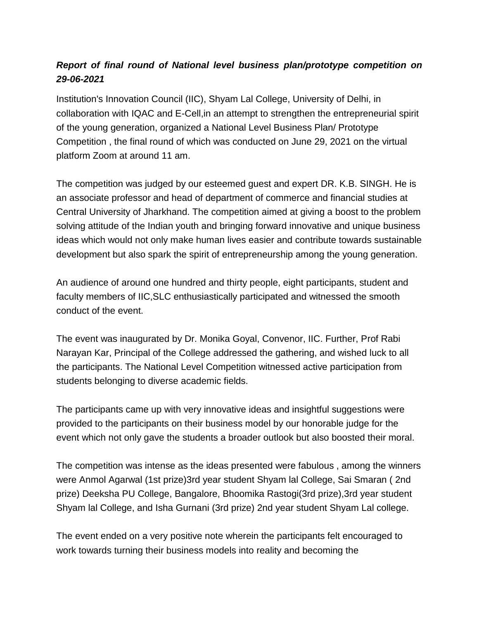## *Report of final round of National level business plan/prototype competition on 29-06-2021*

Institution's Innovation Council (IIC), Shyam Lal College, University of Delhi, in collaboration with IQAC and E-Cell,in an attempt to strengthen the entrepreneurial spirit of the young generation, organized a National Level Business Plan/ Prototype Competition , the final round of which was conducted on June 29, 2021 on the virtual platform Zoom at around 11 am.

The competition was judged by our esteemed guest and expert DR. K.B. SINGH. He is an associate professor and head of department of commerce and financial studies at Central University of Jharkhand. The competition aimed at giving a boost to the problem solving attitude of the Indian youth and bringing forward innovative and unique business ideas which would not only make human lives easier and contribute towards sustainable development but also spark the spirit of entrepreneurship among the young generation.

An audience of around one hundred and thirty people, eight participants, student and faculty members of IIC,SLC enthusiastically participated and witnessed the smooth conduct of the event.

The event was inaugurated by Dr. Monika Goyal, Convenor, IIC. Further, Prof Rabi Narayan Kar, Principal of the College addressed the gathering, and wished luck to all the participants. The National Level Competition witnessed active participation from students belonging to diverse academic fields.

The participants came up with very innovative ideas and insightful suggestions were provided to the participants on their business model by our honorable judge for the event which not only gave the students a broader outlook but also boosted their moral.

The competition was intense as the ideas presented were fabulous , among the winners were Anmol Agarwal (1st prize)3rd year student Shyam lal College, Sai Smaran ( 2nd prize) Deeksha PU College, Bangalore, Bhoomika Rastogi(3rd prize),3rd year student Shyam lal College, and Isha Gurnani (3rd prize) 2nd year student Shyam Lal college.

The event ended on a very positive note wherein the participants felt encouraged to work towards turning their business models into reality and becoming the